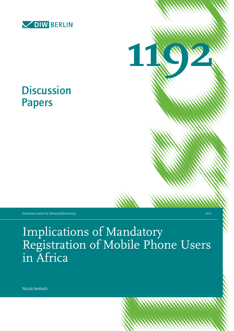



# **Discussion** Papers

Deutsches Institut für Wirtschaftsforschung 2012

Implications of Mandatory Registration of Mobile Phone Users in Africa

Nicola Jentzsch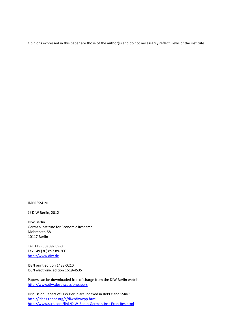Opinions expressed in this paper are those of the author(s) and do not necessarily reflect views of the institute.

IMPRESSUM

© DIW Berlin, 2012

DIW Berlin German Institute for Economic Research Mohrenstr. 58 10117 Berlin

Tel. +49 (30) 897 89-0 Fax +49 (30) 897 89-200 [http://www.diw.de](http://www.diw.de/)

ISSN print edition 1433-0210 ISSN electronic edition 1619-4535

Papers can be downloaded free of charge from the DIW Berlin website: <http://www.diw.de/discussionpapers>

Discussion Papers of DIW Berlin are indexed in RePEc and SSRN: http://ideas.repec.org/s/diw/diwwpp.html <http://www.ssrn.com/link/DIW-Berlin-German-Inst-Econ-Res.html>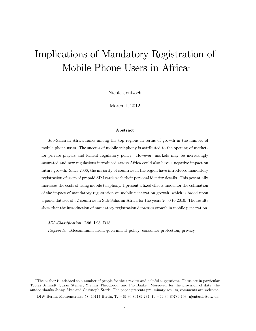## Implications of Mandatory Registration of Mobile Phone Users in Africa

Nicola Jentzsch<sup>†</sup>

March 1, 2012

#### Abstract

Sub-Saharan Africa ranks among the top regions in terms of growth in the number of mobile phone users. The success of mobile telephony is attributed to the opening of markets for private players and lenient regulatory policy. However, markets may be increasingly saturated and new regulations introduced across Africa could also have a negative impact on future growth. Since 2006, the majority of countries in the region have introduced mandatory registration of users of prepaid SIM cards with their personal identity details. This potentially increases the costs of using mobile telephony. I present a fixed effects model for the estimation of the impact of mandatory registration on mobile penetration growth, which is based upon a panel dataset of 32 countries in Sub-Saharan Africa for the years 2000 to 2010. The results show that the introduction of mandatory registration depresses growth in mobile penetration.

JEL-Classification: L96, L98, D18.

Keywords: Telecommunication; government policy; consumer protection; privacy.

The author is indebted to a number of people for their review and helpful suggestions. These are in particular Tobias Schmidt, Susan Steiner, Yiannis Theodorou, and Pio Baake. Moreover, for the provision of data, the author thanks Jenny Aker and Christoph Stork. The paper presents preliminary results, comments are welcome.

<sup>&</sup>lt;sup>†</sup>DIW Berlin, Mohrenstrasse 58, 10117 Berlin, T. +49 30 89789-234, F. +49 30 89789-103, njentzsch@diw.de.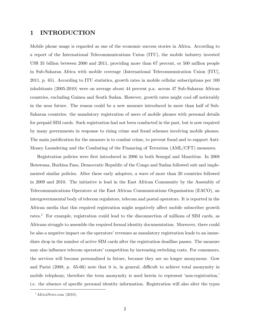## 1 INTRODUCTION

Mobile phone usage is regarded as one of the economic success stories in Africa. According to a report of the International Telecommunications Union (ITU), the mobile industry invested US\$ 35 billion between 2000 and 2011, providing more than 67 percent, or 500 million people in Sub-Saharan Africa with mobile coverage (International Telecommunication Union [ITU], 2011, p. 65). According to ITU statistics, growth rates in mobile cellular subscriptions per 100 inhabitants (2005-2010) were on average about 44 percent p.a. across 47 Sub-Saharan African countries, excluding Guinea and South Sudan. However, growth rates might cool off noticeably in the near future. The reason could be a new measure introduced in more than half of Sub-Saharan countries: the mandatory registration of users of mobile phones with personal details for prepaid SIM cards. Such registration had not been conducted in the past, but is now required by many governments in response to rising crime and fraud schemes involving mobile phones. The main justification for the measure is to combat crime, to prevent fraud and to support Anti-Money Laundering and the Combating of the Financing of Terrorism (AML/CFT) measures.

Registration policies were Örst introduced in 2006 in both Senegal and Mauritius. In 2008 Botswana, Burkina Faso, Democratic Republic of the Congo and Sudan followed suit and implemented similar policies. After these early adopters, a wave of more than 20 countries followed in 2009 and 2010. The initiative is lead in the East African Community by the Assembly of Telecommunications Operators at the East African Communications Organisation (EACO), an intergovernmental body of telecom regulators, telecom and postal operators. It is reported in the African media that this required registration might negatively affect mobile subscriber growth rates.<sup>1</sup> For example, registration could lead to the disconnection of millions of SIM cards, as Africans struggle to assemble the required formal identity documentation. Moreover, there could be also a negative impact on the operators' revenues as mandatory registration leads to an immediate drop in the number of active SIM cards after the registration deadline passes. The measure may also influence telecom operators' competition by increasing switching costs. For consumers, the services will become personalized in future, because they are no longer anonymous. Gow and Parisi  $(2008, p. 65-66)$  note that it is, in general, difficult to achieve total anonymity in mobile telephony, therefore the term anonymity is used herein to represent 'non-registration, i.e. the absence of specific personal identity information. Registration will also alter the types

 ${}^{1}\text{African}$ ews.com (2010).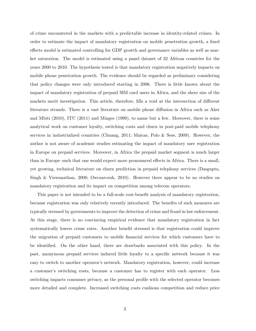of crime encountered in the markets with a predictable increase in identity-related crimes. In order to estimate the impact of mandatory registration on mobile penetration growth, a fixed effects model is estimated controlling for GDP growth and governance variables as well as market saturation. The model is estimated using a panel dataset of 32 African countries for the years 2000 to 2010. The hypothesis tested is that mandatory registration negatively impacts on mobile phone penetration growth. The evidence should be regarded as preliminary considering that policy changes were only introduced starting in 2006. There is little known about the impact of mandatory registration of prepaid SIM card users in Africa, and the sheer size of the markets merit investigation. This article, therefore, fills a void at the intersection of different literature strands. There is a vast literature on mobile phone diffusion in Africa such as Aker and Mbiti (2010), ITU (2011) and Minges (1999), to name but a few. Moreover, there is some analytical work on customer loyalty, switching costs and churn in post-paid mobile telephony services in industrialized countries (Chuang, 2011; Maicas, Polo & Sese, 2009). However, the author is not aware of academic studies estimating the impact of mandatory user registration in Europe on prepaid services. Moreover, in Africa the prepaid market segment is much larger than in Europe–such that one would expect more pronounced effects in Africa. There is a small, yet growing, technical literature on churn prediction in prepaid telephony services (Dasgupta, Singh & Viswanathan, 2008; Owczarczuk, 2010). However there appear to be no studies on mandatory registration and its impact on competition among telecom operators.

This paper is not intended to be a full-scale cost-benefit analysis of mandatory registration, because registration was only relatively recently introduced. The benefits of such measures are typically stressed by governments to improve the detection of crime and fraud in law enforcement. At this stage, there is no convincing empirical evidence that mandatory registration in fact systematically lowers crime rates. Another benefit stressed is that registration could improve the migration of prepaid customers to mobile Önancial services for which customers have to be identified. On the other hand, there are drawbacks associated with this policy. In the past, anonymous prepaid services induced little loyalty to a specific network because it was easy to switch to another operator's network. Mandatory registration, however, could increase a customerís switching costs, because a customer has to register with each operator. Less switching impacts consumer privacy, as the personal profile with the selected operator becomes more detailed and complete. Increased switching costs cushions competition and reduce price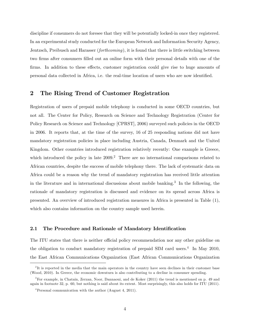discipline if consumers do not foresee that they will be potentially locked-in once they registered. In an experimental study conducted for the European Network and Information Security Agency, Jentzsch, Preibusch and Harasser (forthcoming), it is found that there is little switching between two firms after consumers filled out an online form with their personal details with one of the firms. In addition to these effects, customer registration could give rise to huge amounts of personal data collected in Africa, i.e. the real-time location of users who are now identified.

## 2 The Rising Trend of Customer Registration

Registration of users of prepaid mobile telephony is conducted in some OECD countries, but not all. The Center for Policy, Research on Science and Technology Registration (Center for Policy Research on Science and Technology [CPRST], 2006) surveyed such policies in the OECD in 2006. It reports that, at the time of the survey, 16 of 25 responding nations did not have mandatory registration policies in place including Austria, Canada, Denmark and the United Kingdom. Other countries introduced registration relatively recently: One example is Greece, which introduced the policy in late  $2009<sup>2</sup>$ . There are no international comparisons related to African countries, despite the success of mobile telephony there. The lack of systematic data on Africa could be a reason why the trend of mandatory registration has received little attention in the literature and in international discussions about mobile banking.<sup>3</sup> In the following, the rationale of mandatory registration is discussed and evidence on its spread across Africa is presented. An overview of introduced registration measures in Africa is presented in Table (1), which also contains information on the country sample used herein.

#### 2.1 The Procedure and Rationale of Mandatory Identification

The ITU states that there is neither official policy recommendation nor any other guideline on the obligation to conduct mandatory registration of prepaid SIM card users.<sup>4</sup> In May 2010, the East African Communications Organization (East African Communications Organization

<sup>&</sup>lt;sup>2</sup>It is reported in the media that the main operators in the country have seen declines in their customer base (Wood, 2010). In Greece, the economic downturn is also contributing to a decline in consumer spending.

<sup>3</sup>For example, in Chatain, Zerzan, Noor, Dannaoui, and de Koker (2011) the trend is mentioned on p. 49 and again in footnote 32, p. 60, but nothing is said about its extent. Most surprisingly, this also holds for ITU (2011).

<sup>4</sup>Personal communication with the author (August 4, 2011).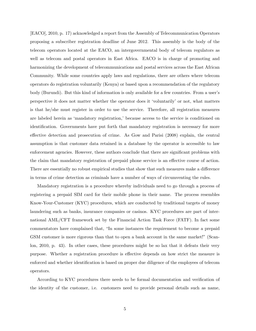[EACO], 2010, p. 17) acknowledged a report from the Assembly of Telecommunication Operators proposing a subscriber registration deadline of June 2012. This assembly is the body of the telecom operators located at the EACO, an intergovernmental body of telecom regulators as well as telecom and postal operators in East Africa. EACO is in charge of promoting and harmonizing the development of telecommunications and postal services across the East African Community. While some countries apply laws and regulations, there are others where telecom operators do registration voluntarily (Kenya) or based upon a recommendation of the regulatory body (Burundi). But this kind of information is only available for a few countries. From a user's perspective it does not matter whether the operator does it ëvoluntarilyíor not, what matters is that he/she must register in order to use the service. Therefore, all registration measures are labeled herein as 'mandatory registration,' because access to the service is conditioned on identification. Governments have put forth that mandatory registration is necessary for more effective detection and prosecution of crime. As Gow and Parisi (2008) explain, the central assumption is that customer data retained in a database by the operator is accessible to law enforcement agencies. However, these authors conclude that there are significant problems with the claim that mandatory registration of prepaid phone service is an effective course of action. There are essentially no robust empirical studies that show that such measures make a difference in terms of crime detection as criminals have a number of ways of circumventing the rules.

Mandatory registration is a procedure whereby individuals need to go through a process of registering a prepaid SIM card for their mobile phone in their name. The process resembles Know-Your-Customer (KYC) procedures, which are conducted by traditional targets of money laundering such as banks, insurance companies or casinos. KYC procedures are part of international AML/CFT framework set by the Financial Action Task Force (FATF). In fact some commentators have complained that, "In some instances the requirement to become a prepaid GSM customer is more rigorous than that to open a bank account in the same market!" (Scanlon, 2010, p. 43). In other cases, these procedures might be so lax that it defeats their very purpose. Whether a registration procedure is effective depends on how strict the measure is enforced and whether identification is based on proper due diligence of the employees of telecom operators.

According to KYC procedures there needs to be formal documentation and verification of the identity of the customer, i.e. customers need to provide personal details such as name,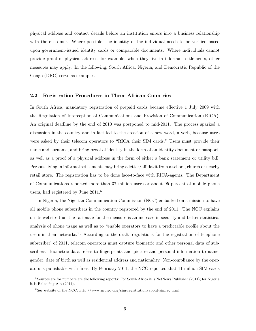physical address and contact details before an institution enters into a business relationship with the customer. Where possible, the identity of the individual needs to be verified based upon government-issued identity cards or comparable documents. Where individuals cannot provide proof of physical address, for example, when they live in informal settlements, other measures may apply. In the following, South Africa, Nigeria, and Democratic Republic of the Congo (DRC) serve as examples.

#### 2.2 Registration Procedures in Three African Countries

In South Africa, mandatory registration of prepaid cards became effective 1 July 2009 with the Regulation of Interception of Communications and Provision of Communication (RICA). An original deadline by the end of 2010 was postponed to mid-2011. The process sparked a discussion in the country and in fact led to the creation of a new word, a verb, because users were asked by their telecom operators to "RICA their SIM cards." Users must provide their name and surname, and bring proof of identity in the form of an identity document or passport, as well as a proof of a physical address in the form of either a bank statement or utility bill. Persons living in informal settlements may bring a letter/affidavit from a school, church or nearby retail store. The registration has to be done face-to-face with RICA-agents. The Department of Communications reported more than 37 million users or about 95 percent of mobile phone users, had registered by June 2011.<sup>5</sup>

In Nigeria, the Nigerian Communication Commission (NCC) embarked on a mission to have all mobile phone subscribers in the country registered by the end of 2011. The NCC explains on its website that the rationale for the measure is an increase in security and better statistical analysis of phone usage as well as to "enable operators to have a predictable profile about the users in their networks.<sup> $6$ </sup> According to the draft 'regulations for the registration of telephone subscriber' of 2011, telecom operators must capture biometric and other personal data of subscribers. Biometric data refers to fingerprints and picture and personal information to name, gender, date of birth as well as residential address and nationality. Non-compliance by the operators is punishable with Önes. By February 2011, the NCC reported that 11 million SIM cards

<sup>&</sup>lt;sup>5</sup>Sources are for numbers are the following reports: For South Africa it is NetNews Publisher (2011); for Nigeria it is Balancing Act (2011).

<sup>6</sup> See website of the NCC: http://www.ncc.gov.ng/sim-registration/about-simreg.html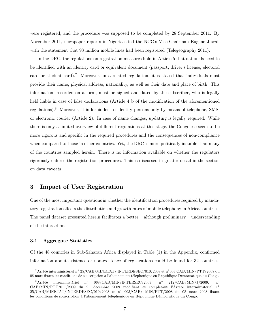were registered, and the procedure was supposed to be completed by 28 September 2011. By November 2011, newspaper reports in Nigeria cited the NCC's Vice-Chairman Eugene Juwah with the statement that 93 million mobile lines had been registered (Telegeography 2011).

In the DRC, the regulations on registration measures hold in Article 5 that nationals need to be identified with an identity card or equivalent document (passport, driver's license, electoral card or student card).<sup>7</sup> Moreover, in a related regulation, it is stated that individuals must provide their name, physical address, nationality, as well as their date and place of birth. This information, recorded on a form, must be signed and dated by the subscriber, who is legally held liable in case of false declarations (Article  $4 b$  of the modification of the aforementioned regulations).<sup>8</sup> Moreover, it is forbidden to identify persons only by means of telephone, SMS, or electronic courier (Article 2). In case of name changes, updating is legally required. While there is only a limited overview of different regulations at this stage, the Congolese seem to be more rigorous and specific in the required procedures and the consequences of non-compliance when compared to those in other countries. Yet, the DRC is more politically instable than many of the countries sampled herein. There is no information available on whether the regulators rigorously enforce the registration procedures. This is discussed in greater detail in the section on data caveats.

## 3 Impact of User Registration

One of the most important questions is whether the identification procedures required by mandatory registration affects the distribution and growth rates of mobile telephony in Africa countries. The panel dataset presented herein facilitates a better  $-\text{although preliminary} - \text{understanding}$ of the interactions.

#### 3.1 Aggregate Statistics

Of the  $48$  countries in Sub-Saharan Africa displayed in Table  $(1)$  in the Appendix, confirmed information about existence or non-existence of registrations could be found for 32 countries.

 $^{7}\rm{Arr}$ êté interministériel n° 25/CAB/MINETAT/ INTERDESEC/010/2008 et n°003 CAB/MIN/PTT/2008 du 08 mars fixant les conditions de souscription à l'abonnement téléphonique en République Démocratique du Congo.

 $^8\rm Arr\^et{\'e}$  interministériel n°  $068/CAB/MIN/INTERSEC/2009, n<sup>°</sup>$  $212/CAB/MIN/J/2009$ , n<sup>o</sup>  $CAB/MIN/PTT/011/2009$  du 21 décembre 2009 modifiant et complétant l'Arrêté interministériel n°  $25/\mathrm{CAB/MINETAT/INTERDESEC/010/2008}$  et n° 003/CAB/ MIN/PTT/2008 du 08 mars 2008 fixant les conditions de souscription à l'abonnement téléphonique en République Démocratique du Congo.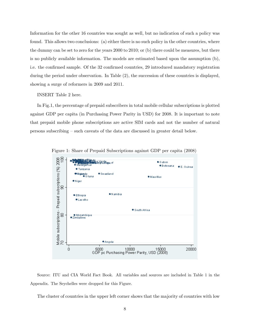Information for the other 16 countries was sought as well, but no indication of such a policy was found. This allows two conclusions: (a) either there is no such policy in the other countries, where the dummy can be set to zero for the years 2000 to 2010; or (b) there could be measures, but there is no publicly available information. The models are estimated based upon the assumption (b), i.e. the confirmed sample. Of the 32 confirmed countries, 29 introduced mandatory registration during the period under observation. In Table (2), the succession of these countries is displayed, showing a surge of reformers in 2009 and 2011.

INSERT Table 2 here.

In Fig.1, the percentage of prepaid subscribers in total mobile cellular subscriptions is plotted against GDP per capita (in Purchasing Power Parity in USD) for 2008. It is important to note that prepaid mobile phone subscriptions are active SIM cards and not the number of natural persons subscribing  $\sim$  such caveats of the data are discussed in greater detail below.



Figure 1: Share of Prepaid Subscriptions against GDP per capita (2008)

Source: ITU and CIA World Fact Book. All variables and sources are included in Table 1 in the Appendix. The Seychelles were dropped for this Figure.

The cluster of countries in the upper left corner shows that the majority of countries with low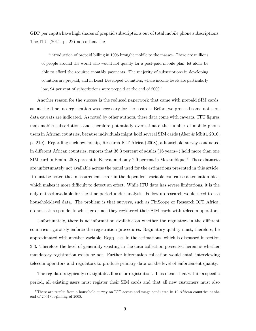GDP per capita have high shares of prepaid subscriptions out of total mobile phone subscriptions. The ITU (2011, p. 22) notes that the

ìintroduction of prepaid billing in 1996 brought mobile to the masses. There are millions of people around the world who would not qualify for a post-paid mobile plan, let alone be able to afford the required monthly payments. The majority of subscriptions in developing countries are prepaid, and in Least Developed Countries, where income levels are particularly low, 94 per cent of subscriptions were prepaid at the end of 2009.<sup>n</sup>

Another reason for the success is the reduced paperwork that came with prepaid SIM cards, as, at the time, no registration was necessary for these cards. Before we proceed some notes on data caveats are indicated. As noted by other authors, these data come with caveats. ITU figures map mobile subscriptions and therefore potentially overestimate the number of mobile phone users in African countries, because individuals might hold several SIM cards (Aker & Mbiti, 2010, p. 210). Regarding such ownership, Research ICT Africa (2008), a household survey conducted in different African countries, reports that  $36.3$  percent of adults  $(16 \text{ years}+)$  hold more than one SIM card in Benin, 25.8 percent in Kenya, and only 2.9 percent in Mozambique.<sup>9</sup> These datasets are unfortunately not available across the panel used for the estimations presented in this article. It must be noted that measurement error in the dependent variable can cause attenuation bias, which makes it more difficult to detect an effect. While ITU data has severe limitations, it is the only dataset available for the time period under analysis. Follow-up research would need to use household-level data. The problem is that surveys, such as FinScope or Research ICT Africa, do not ask respondents whether or not they registered their SIM cards with telecom operators.

Unfortunately, there is no information available on whether the regulators in the different countries rigorously enforce the registration procedures. Regulatory quality must, therefore, be approximated with another variable, Regq\_est, in the estimations, which is discussed in section 3.3. Therefore the level of generality existing in the data collection presented herein is whether mandatory registration exists or not. Further information collection would entail interviewing telecom operators and regulators to produce primary data on the level of enforcement quality.

The regulators typically set tight deadlines for registration. This means that within a specific period, all existing users must register their SIM cards and that all new customers must also

<sup>&</sup>lt;sup>9</sup>These are results from a household survey on ICT access and usage conducted in 12 African countries at the end of 2007/beginning of 2008.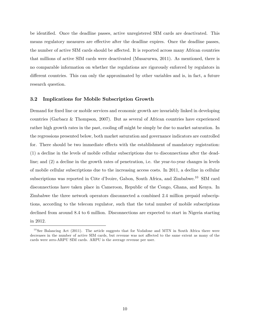be identified. Once the deadline passes, active unregistered SIM cards are deactivated. This means regulatory measures are effective after the deadline expires. Once the deadline passes, the number of active SIM cards should be affected. It is reported across many African countries that millions of active SIM cards were deactivated (Musarurwa, 2011). As mentioned, there is no comparable information on whether the regulations are rigorously enforced by regulators in different countries. This can only the approximated by other variables and is, in fact, a future research question.

#### 3.2 Implications for Mobile Subscription Growth

Demand for fixed line or mobile services and economic growth are invariably linked in developing countries (Garbacz & Thompson, 2007). But as several of African countries have experienced rather high growth rates in the past, cooling off might be simply be due to market saturation. In the regressions presented below, both market saturation and governance indicators are controlled for. There should be two immediate effects with the establishment of mandatory registration: (1) a decline in the levels of mobile cellular subscriptions due to disconnections after the deadline; and (2) a decline in the growth rates of penetration, i.e. the year-to-year changes in levels of mobile cellular subscriptions due to the increasing access costs. In 2011, a decline in cellular subscriptions was reported in Côte d'Ivoire, Gabon, South Africa, and Zimbabwe.<sup>10</sup> SIM card disconnections have taken place in Cameroon, Republic of the Congo, Ghana, and Kenya. In Zimbabwe the three network operators disconnected a combined 2.4 million prepaid subscriptions, according to the telecom regulator, such that the total number of mobile subscriptions declined from around 8.4 to 6 million. Disconnections are expected to start in Nigeria starting in 2012.

 $10$ See Balancing Act (2011). The article suggests that for Vodafone and MTN in South Africa there were decreases in the number of active SIM cards, but revenue was not affected to the same extent as many of the cards were zero-ARPU SIM cards. ARPU is the average revenue per user.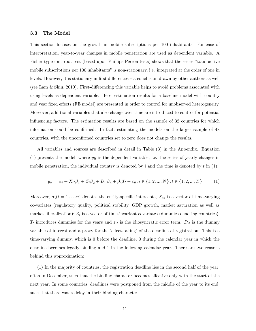#### 3.3 The Model

This section focuses on the growth in mobile subscriptions per 100 inhabitants. For ease of interpretation, year-to-year changes in mobile penetration are used as dependent variable. A Fisher-type unit-root test (based upon Phillips-Perron tests) shows that the series "total active" mobile subscriptions per 100 inhabitants" is non-stationary, i.e. integrated at the order of one in levels. However, it is stationary in first differences  $-$  a conclusion drawn by other authors as well (see Lam  $\&$  Shiu, 2010). First-differencing this variable helps to avoid problems associated with using levels as dependent variable. Here, estimation results for a baseline model with country and year fixed effects (FE model) are presented in order to control for unobserved heterogeneity. Moreover, additional variables that also change over time are introduced to control for potential influencing factors. The estimation results are based on the sample of 32 countries for which information could be confirmed. In fact, estimating the models on the larger sample of  $48$ countries, with the unconfirmed countries set to zero does not change the results.

All variables and sources are described in detail in Table (3) in the Appendix. Equation (1) presents the model, where  $y_{it}$  is the dependent variable, i.e. the series of yearly changes in mobile penetration, the individual country is denoted by  $i$  and the time is denoted by  $t$  in (1):

$$
y_{it} = \alpha_i + X_{it}\beta_1 + Z_i\beta_2 + D_{it}\beta_3 + \beta_4 T_t + \varepsilon_{it}; i \in \{1, 2, ..., N\}, t \in \{1, 2, ..., T_i\}
$$
 (1)

Moreover,  $\alpha_i(i = 1 \ldots n)$  denotes the entity-specific intercepts,  $X_{it}$  is a vector of time-varying co-variates (regulatory quality, political stability, GDP growth, market saturation as well as market liberalization);  $Z_i$  is a vector of time-invariant covariates (dummies denoting countries);  $T_t$  introduces dummies for the years and  $\varepsilon_{it}$  is the idiosyncratic error term.  $D_{it}$  is the dummy variable of interest and a proxy for the 'effect-taking' of the deadline of registration. This is a time-varying dummy, which is 0 before the deadline, 0 during the calendar year in which the deadline becomes legally binding and 1 in the following calendar year. There are two reasons behind this approximation:

(1) In the majority of countries, the registration deadline lies in the second half of the year, often in December, such that the binding character becomes effective only with the start of the next year. In some countries, deadlines were postponed from the middle of the year to its end, such that there was a delay in their binding character;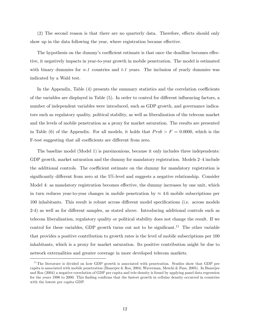$(2)$  The second reason is that there are no quarterly data. Therefore, effects should only show up in the data following the year, where registration became effective.

The hypothesis on the dummy's coefficient estimate is that once the deadline becomes effective, it negatively impacts in year-to-year growth in mobile penetration. The model is estimated with binary dummies for  $n-1$  countries and  $t-1$  years. The inclusion of yearly dummies was indicated by a Wald test.

In the Appendix, Table  $(4)$  presents the summary statistics and the correlation coefficients of the variables are displayed in Table (5). In order to control for different influencing factors, a number of independent variables were introduced, such as GDP growth, and governance indicators such as regulatory quality, political stability, as well as liberalization of the telecom market and the levels of mobile penetration as a proxy for market saturation. The results are presented in Table (6) of the Appendix. For all models, it holds that  $Prob > F = 0.0000$ , which is the F-test suggesting that all coefficients are different from zero.

The baseline model (Model 1) is parsimonious, because it only includes three independents: GDP growth, market saturation and the dummy for mandatory registration. Models 2–4 include the additional controls. The coefficient estimate on the dummy for mandatory registration is significantly different from zero at the 5%-level and suggests a negative relationship. Consider Model 4: as mandatory registration becomes effective, the dummy increases by one unit, which in turn reduces year-to-year changes in mobile penetration by  $\approx 4.6$  mobile subscriptions per 100 inhabitants. This result is robust across different model specifications (i.e. across models 2-4) as well as for different samples, as stated above. Introducing additional controls such as telecom liberalization, regulatory quality or political stability does not change the result. If we control for these variables, GDP growth turns out not to be significant.<sup>11</sup> The other variable that provides a positive contribution to growth rates is the level of mobile subscriptions per 100 inhabitants, which is a proxy for market saturation. Its positive contribution might be due to network externalities and greater coverage in more developed telecom markets.

<sup>&</sup>lt;sup>11</sup>The literature is divided on how GDP growth is associated with penetration. Studies show that GDP per capita is associated with mobile penetration (Banerjee & Ros, 2004; Waverman, Meschi & Fuss, 2005). In Banerjee and Ros (2004) a negative correlation of GDP per capita and tele-density is found by applying panel data regression for the years 1996 to 2000. This finding confirms that the fastest growth in cellular density occurred in countries with the lowest per capita GDP.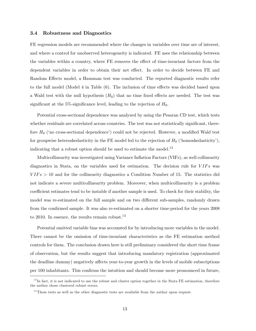#### 3.4 Robustness and Diagnostics

FE regression models are recommended where the changes in variables over time are of interest, and where a control for unobserved heterogeneity is indicated. FE uses the relationship between the variables within a country, where FE removes the effect of time-invariant factors from the dependent variables in order to obtain their net effect. In order to decide between FE and Random Effects model, a Hausman test was conducted. The reported diagnostic results refer to the full model (Model 4 in Table  $(6)$ . The inclusion of time effects was decided based upon a Wald test with the null hypothesis  $(H_0)$  that no time fixed effects are needed. The test was significant at the 5%-significance level, leading to the rejection of  $H_0$ .

Potential cross-sectional dependence was analyzed by using the Pesaran CD test, which tests whether residuals are correlated across countries. The test was not statistically significant, therefore  $H_0$  ('no cross-sectional dependence') could not be rejected. However, a modified Wald test for groupwise heteroskedasticity in the FE model led to the rejection of  $H_0$  ('homoskedasticity'), indicating that a robust option should be used to estimate the model.<sup>12</sup>

Multicollinearity was investigated using Variance Inflation Factors (VIFs), as well collinearity diagnostics in Stata, on the variables used for estimation. The decision rule for  $VIFs$  was  $VIFs > 10$  and for the collinearity diagnostics a Condition Number of 15. The statistics did not indicate a severe multicollinearity problem. Moreover, when multicollinearity is a problem coefficient estimates tend to be instable if another sample is used. To check for their stability, the model was re-estimated on the full sample and on two different sub-samples, randomly drawn from the confirmed sample. It was also re-estimated on a shorter time-period for the years 2008 to 2010. In essence, the results remain robust.<sup>13</sup>

Potential omitted variable bias was accounted for by introducing more variables in the model. There cannot be the omission of time-invariant characteristics as the FE estimation method controls for them. The conclusion drawn here is still preliminary considered the short time frame of observation, but the results suggest that introducing mandatory registration (approximated the deadline dummy) negatively affects year-to-year growth in the levels of mobile subscriptions per 100 inhabitants. This confirms the intuition and should become more pronounced in future,

 $^{12}$ In fact, it is not indicated to use the robust and cluster option together in the Stata FE estimation, therefore the author chose clustered robust errors.

 $13$ These tests as well as the other diagnostic tests are available from the author upon request.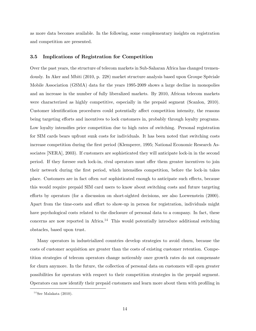as more data becomes available. In the following, some complementary insights on registration and competition are presented.

#### 3.5 Implications of Registration for Competition

Over the past years, the structure of telecom markets in Sub-Saharan Africa has changed tremendously. In Aker and Mbiti (2010, p. 228) market structure analysis based upon Groupe SpÈciale Mobile Association (GSMA) data for the years 1995-2009 shows a large decline in monopolies and an increase in the number of fully liberalized markets. By 2010, African telecom markets were characterized as highly competitive, especially in the prepaid segment (Scanlon, 2010). Customer identification procedures could potentially affect competition intensity, the reasons being targeting efforts and incentives to lock customers in, probably through loyalty programs. Low loyalty intensifies price competition due to high rates of switching. Personal registration for SIM cards bears upfront sunk costs for individuals. It has been noted that switching costs increase competition during the first period (Klemperer, 1995; National Economic Research Associates [NERA], 2003). If customers are sophisticated they will anticipate lock-in in the second period. If they foresee such lock-in, rival operators must offer them greater incentives to join their network during the first period, which intensifies competition, before the lock-in takes place. Customers are in fact often *not* sophisticated enough to anticipate such effects, because this would require prepaid SIM card users to know about switching costs and future targeting efforts by operators (for a discussion on short-sighted decisions, see also Loewenstein (2000). Apart from the time-costs and effort to show-up in person for registration, individuals might have psychological costs related to the disclosure of personal data to a company. In fact, these concerns are now reported in Africa.<sup>14</sup> This would potentially introduce additional switching obstacles, based upon trust.

Many operators in industrialized countries develop strategies to avoid churn, because the costs of customer acquisition are greater than the costs of existing customer retention. Competition strategies of telecom operators change noticeably once growth rates do not compensate for churn anymore. In the future, the collection of personal data on customers will open greater possibilities for operators with respect to their competition strategies in the prepaid segment. Operators can now identify their prepaid customers and learn more about them with profiling in

 $14$ See Malakata (2010).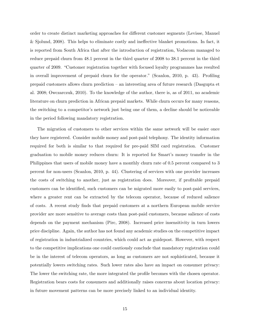order to create distinct marketing approaches for different customer segments (Levisse, Manuel  $\&$  Sjolund, 2008). This helps to eliminate costly and ineffective blanket promotions. In fact, it is reported from South Africa that after the introduction of registration, Vodacom managed to reduce prepaid churn from 48.1 percent in the third quarter of 2008 to 38.1 percent in the third quarter of 2009. "Customer registration together with focused loyalty programmes has resulted in overall improvement of prepaid churn for the operator." (Scanlon, 2010, p. 43). Profiling prepaid customers allows churn prediction  $-$  an interesting area of future research (Dasgupta et al. 2008; Owczarczuk, 2010). To the knowledge of the author, there is, as of 2011, no academic literature on churn prediction in African prepaid markets. While churn occurs for many reasons, the switching to a competitor's network just being one of them, a decline should be noticeable in the period following mandatory registration.

The migration of customers to other services within the same network will be easier once they have registered. Consider mobile money and post-paid telephony. The identity information required for both is similar to that required for pre-paid SIM card registration. Customer graduation to mobile money reduces churn: It is reported for Smart's money transfer in the Philippines that users of mobile money have a monthly churn rate of 0.5 percent compared to 3 percent for non-users (Scanlon, 2010, p. 44). Clustering of services with one provider increases the costs of switching to another, just as registration does. Moreover, if profitable prepaid customers can be identified, such customers can be migrated more easily to post-paid services, where a greater rent can be extracted by the telecom operator, because of reduced salience of costs. A recent study Önds that prepaid customers at a northern European mobile service provider are more sensitive to average costs than post-paid customers, because salience of costs depends on the payment mechanism (Pirc, 2008). Increased price insensitivity in turn lowers price discipline. Again, the author has not found any academic studies on the competitive impact of registration in industrialized countries, which could act as guidepost. However, with respect to the competitive implications one could cautiously conclude that mandatory registration could be in the interest of telecom operators, as long as customers are not sophisticated, because it potentially lowers switching rates. Such lower rates also have an impact on consumer privacy: The lower the switching rate, the more integrated the profile becomes with the chosen operator. Registration bears costs for consumers and additionally raises concerns about location privacy: in future movement patterns can be more precisely linked to an individual identity.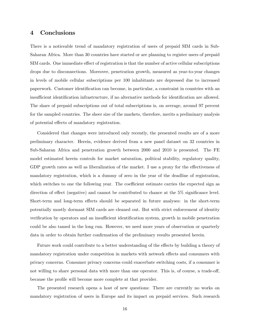## 4 Conclusions

There is a noticeable trend of mandatory registration of users of prepaid SIM cards in Sub-Saharan Africa. More than 30 countries have started or are planning to register users of prepaid SIM cards. One immediate effect of registration is that the number of active cellular subscriptions drops due to disconnections. Moreover, penetration growth, measured as year-to-year changes in levels of mobile cellular subscriptions per 100 inhabitants are depressed due to increased paperwork. Customer identification can become, in particular, a constraint in countries with an insufficient identification infrastructure, if no alternative methods for identification are allowed. The share of prepaid subscriptions out of total subscriptions is, on average, around 97 percent for the sampled countries. The sheer size of the markets, therefore, merits a preliminary analysis of potential effects of mandatory registration.

Considered that changes were introduced only recently, the presented results are of a more preliminary character. Herein, evidence derived from a new panel dataset on 32 countries in Sub-Saharan Africa and penetration growth between 2000 and 2010 is presented. The FE model estimated herein controls for market saturation, political stability, regulatory quality, GDP growth rates as well as liberalization of the market. I use a proxy for the effectiveness of mandatory registration, which is a dummy of zero in the year of the deadline of registration, which switches to one the following year. The coefficient estimate carries the expected sign as direction of effect (negative) and cannot be contributed to chance at the  $5\%$  significance level. Short-term and long-term effects should be separated in future analyses: in the short-term potentially mostly dormant SIM cards are cleaned out. But with strict enforcement of identity verification by operators and an insufficient identification system, growth in mobile penetration could be also tamed in the long run. However, we need more years of observation or quarterly data in order to obtain further confirmation of the preliminary results presented herein.

Future work could contribute to a better understanding of the effects by building a theory of mandatory registration under competition in markets with network effects and consumers with privacy concerns. Consumer privacy concerns could exacerbate switching costs, if a consumer is not willing to share personal data with more than one operator. This is, of course, a trade-off, because the profile will become more complete at that provider.

The presented research opens a host of new questions: There are currently no works on mandatory registration of users in Europe and its impact on prepaid services. Such research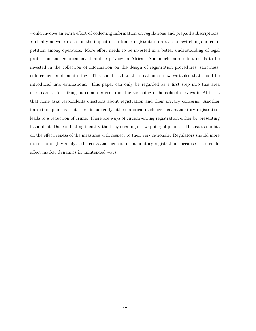would involve an extra effort of collecting information on regulations and prepaid subscriptions. Virtually no work exists on the impact of customer registration on rates of switching and competition among operators. More effort needs to be invested in a better understanding of legal protection and enforcement of mobile privacy in Africa. And much more effort needs to be invested in the collection of information on the design of registration procedures, strictness, enforcement and monitoring. This could lead to the creation of new variables that could be introduced into estimations. This paper can only be regarded as a first step into this area of research. A striking outcome derived from the screening of household surveys in Africa is that none asks respondents questions about registration and their privacy concerns. Another important point is that there is currently little empirical evidence that mandatory registration leads to a reduction of crime. There are ways of circumventing registration either by presenting fraudulent IDs, conducting identity theft, by stealing or swapping of phones. This casts doubts on the effectiveness of the measures with respect to their very rationale. Regulators should more more thoroughly analyze the costs and benefits of mandatory registration, because these could affect market dynamics in unintended ways.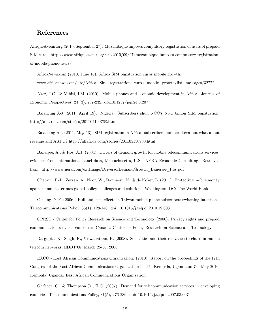## References

AfriqueAvenir.org (2010, September 27). Mozambique imposes compulsory registration of users of prepaid SIM cards, http://www.afriqueavenir.org/en/2010/09/27/mozambique-imposes-compulsory-registrationof-mobile-phone-users/

AfricaNews.com (2010, June 16). Africa SIM registration curbs mobile growth, www.africanews.com/site/Africa\_Sim\_registration\_curbs\_mobile\_growth/list\_messages/32772

Aker, J.C., & Mibiti, I.M. (2010). Mobile phones and economic development in Africa. Journal of Economic Perspectives, 24 (3), 207-232. doi:10.1257/jep.24.3.207

Balancing Act (2011, April 19). Nigeria: Subscribers shun NCC's N6.1 billion SIM registration, http://allafrica.com/stories/201104190768.html

Balancing Act (2011, May 13). SIM registration in Africa: subscribers number down but what about revenue and ARPU? http://allafrica.com/stories/201105130900.html

Banerjee, A., & Ros, A.J. (2004). Drivers of demand growth for mobile telecommunications services: evidence from international panel data, Massachusetts, U.S.: NERA Economic Consulting. Retrieved from: http://www.nera.com/extImage/DriversofDemandGrowth\_Banerjee\_Ros.pdf

Chatain. P.-L., Zerzan, A., Noor, W., Dannaoui, N., & de Koker, L. (2011). Protecting mobile money against financial crimes-global policy challenges and solutions, Washington, DC: The World Bank.

Chuang, Y-F. (2006). Pull-and-suck effects in Taiwan mobile phone subscribers switching intentions, Telecommunications Policy, 35(1), 128-140. doi: 10.1016/j.telpol.2010.12.003

CPRST - Center for Policy Research on Science and Technology (2006). Privacy rights and prepaid communication service. Vancouver, Canada: Center for Policy Research on Science and Technology.

Dasgupta, K., Singh, R., Viswanathan, B. (2008). Social ties and their relevance to churn in mobile telecom networks, EDBT'08, March 25-30, 2008.

EACO - East African Communications Organization. (2010). Report on the proceedings of the 17th Congress of the East African Communications Organization held in Kempala, Uganda on 7th May 2010, Kempala, Uganda: East African Communications Organization.

Garbacz, C., & Thompson Jr., H.G. (2007). Demand for telecommunication services in developing countries, Telecommunications Policy, 31(5), 276-289. doi: 10.1016/j.telpol.2007.03.007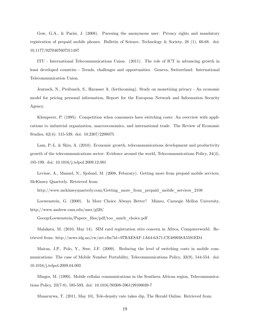Gow, G.A., & Parisi, J. (2008). Pursuing the anonymous user: Privacy rights and mandatory registration of prepaid mobile phones. Bulletin of Science, Technology & Society, 28 (1), 60-68. doi: 10.1177/0270467607311487

ITU - International Telecommunications Union. (2011). The role of ICT in advancing growth in least developed countries - Trends, challenges and opportunities. Geneva, Switzerland: International Telecommunication Union.

Jentzsch, N., Preibusch, S., Harasser A. (forthcoming). Study on monetizing privacy - An economic model for pricing personal information, Report for the European Network and Information Security Agency.

Klemperer, P. (1995). Competition when consumers have switching costs: An overview with applications to industrial organization, macroeconomics, and international trade. The Review of Economic Studies, 62(4): 515-539. doi: 10.2307/2298075

Lam, P.-L. & Shiu, A. (2010). Economic growth, telecommunications development and productivity growth of the telecommunications sector: Evidence around the world, Telecommunications Policy, 34(4), 185-199. doi: 10.1016/j.telpol.2009.12.001

Levisse, A., Manuel, N., Sjolund, M. (2008, Feburary). Getting more from prepaid mobile services, McKinsey Quarterly. Retrieved from:

http://www.mckinseyquarterly.com/Getting\_more\_from\_prepaid\_mobile\_services\_2108

Loewenstein, G. (2000). Is More Choice Always Better? Mimeo, Carnegie Mellon University, http://www.andrew.cmu.edu/user/gl20/

GeorgeLoewenstein/Papers\_Öles/pdf/too\_much\_choice.pdf

Malakata, M. (2010, May 14). SIM card registration stirs concern in Africa, Computerworld. Retrieved from: http://news.idg.no/cw/art.cfm?id=97BAE8AF-1A64-6A71-CE489938A5591ED4

Maicas, J.P., Polo, Y., Sese, J.F. (2009). Reducing the level of switching costs in mobile communications: The case of Mobile Number Portability, Telecommunications Policy, 33(9), 544-554. doi: 10.1016/j.telpol.2009.04.003

Minges, M. (1999). Mobile cellular communications in the Southern African region, Telecommunications Policy, 23(7-8), 585-593. doi: 10.1016/S0308-5961(99)00039-7

Musarurwa, T. (2011, May 10), Tele-density rate takes dip, The Herald Online. Retrieved from: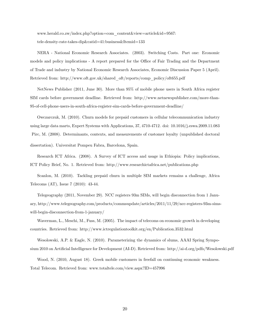www.herald.co.zw/index.php?option=com\_content&view=article&id=9567: tele-density-rate-takes-dip&catid=41:business&Itemid=133

NERA - National Economic Research Associates. (2003). Switching Costs. Part one: Economic models and policy implications - A report prepared for the Office of Fair Trading and the Department of Trade and industry by National Economic Research Associates, Economic Discussion Paper 5 (April). Retrieved from: http://www.oft.gov.uk/shared\_oft/reports/comp\_policy/oft655.pdf

NetNews Publisher (2011, June 30). More than 95% of mobile phone users in South Africa register SIM cards before government deadline. Retrieved from: http://www.netnewspublisher.com/more-than-95-of-cell-phone-users-in-south-africa-register-sim-cards-before-government-deadline/

Owczarczuk, M. (2010). Churn models for prepaid customers in cellular telecommunication industry using large data marts, Expert Systems with Applications, 37, 4710-4712. doi: 10.1016/j.eswa.2009.11.083 Pirc, M. (2008). Determinants, contexts, and measurements of customer loyalty (unpublished doctoral dissertation). Universitat Pompeu Fabra, Barcelona, Spain.

Research ICT Africa. (2008). A Survey of ICT access and usage in Ethiopia: Policy implications, ICT Policy Brief, No. 1. Retrieved from: http://www.researchictafrica.net/publications.php

Scanlon, M. (2010). Tackling prepaid churn in multiple SIM markets remains a challenge, Africa Telecoms (AT), Issue 7 (2010): 43-44.

Telegeography (2011, November 29). NCC registers 93m SIMs, will begin disconnection from 1 January, http://www.telegeography.com/products/commsupdate/articles/2011/11/29/ncc-registers-93m-simswill-begin-disconnection-from-1-january/

Waverman, L., Meschi, M., Fuss, M. (2005). The impact of telecoms on economic growth in developing countries. Retrieved from: http://www.ictregulationtoolkit.org/en/Publication.3532.html

Wesolowski, A.P. & Eagle, N. (2010). Parameterizing the dynamics of slums, AAAI Spring Symposium 2010 on Artificial Intelligence for Development (AI-D). Retrieved from: http://ai-d.org/pdfs/Wesolowski.pdf

Wood, N. (2010, August 18). Greek mobile customers in freefall on continuing economic weakness. Total Telecom. Retrieved from: www.totaltele.com/view.aspx?ID=457996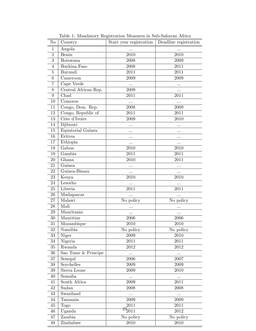| No             | Country              | Start year registration | Deadline registration |
|----------------|----------------------|-------------------------|-----------------------|
| $\mathbf{1}$   | Angola               |                         | $\cdots$              |
| $\overline{2}$ | Benin                | 2010                    | 2010                  |
| $\sqrt{3}$     | <b>Botswana</b>      | 2008                    | 2009                  |
| $\overline{4}$ | Burkina Faso         | 2008                    | 2011                  |
| $\overline{5}$ | Burundi              | 2011                    | 2011                  |
| 6              | Cameroon             | 2009                    | 2009                  |
| $\overline{7}$ | Cape Verde           |                         | .                     |
| 8              | Central African Rep. | 2009                    | $\ldots$              |
| 9              | Chad                 | 2011                    | 2011                  |
| 10             | Comoros              | $\cdots$                |                       |
| 11             | Congo, Dem. Rep.     | 2008                    | 2009                  |
| 12             | Congo, Republic of   | 2011                    | 2011                  |
| 13             | Côte d'Ivoire        | 2009                    | 2010                  |
| 14             | Djibouti             |                         | .                     |
| 15             | Equatorial Guinea    | .                       | .                     |
| 16             | Eritrea              | .                       | .                     |
| 17             | Ethiopia             | .                       | .                     |
| 18             | Gabon                | 2010                    | 2010                  |
| $19\,$         | Gambia               | 2011                    | 2011                  |
| 20             | Ghana                | 2010                    | 2011                  |
| 21             | Guinea               |                         |                       |
| 22             | Guinea-Bissau        | $\cdots$                | .                     |
| 23             | Kenya                | 2010                    | 2010                  |
| 24             | Lesotho              |                         |                       |
| 25             | Liberia              | 2011                    | 2011                  |
| 26             | Madagascar           |                         |                       |
| 27             | Malawi               | No policy               | No policy             |
| 28             | Mali                 | .                       | .                     |
| 29             | Mauritania           |                         |                       |
| 30             | Mauritius            | 2006                    | 2006                  |
| 31             | Mozambique           | 2010                    | 2010                  |
| $32\,$         | Namibia              | No policy               | No policy             |
| 33             | Niger                | 2009                    | 2010                  |
| $34\,$         | Nigeria              | 2011                    | 2011                  |
| $35\,$         | Rwanda               | 2012                    | 2012                  |
| 36             | Sao Tome & Principe  |                         |                       |
| 37             | Senegal              | 2006                    | 2007                  |
| $38\,$         | Seychelles           | 2009                    | 2009                  |
| $39\,$         | Sierra Leone         | 2009                    | 2010                  |
| 40             | Somalia              | $\cdots$                | $\cdots$              |
| 41             | South Africa         | 2009                    | 2011                  |
| 42             | Sudan                | 2008                    | 2008                  |
| 43             | Swaziland            | $\cdots$                |                       |
| 44             | Tanzania             | 2009                    | 2009                  |
| 45             | Togo                 | 2011                    | 2011                  |
| 46             | Uganda               | $^{21}_{2011}$          | 2012                  |
| $47\,$         | Zambia               | No policy               | No policy             |
| $48\,$         | Zimbabwe             | 2010                    | 2010                  |

Ξ

Table 1: Mandatory Registration Measures in Sub-Saharan Africa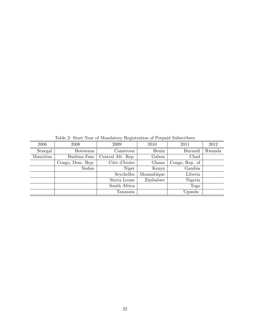Table 2: Start Year of Mandatory Registration of Prepaid Subscribers

| 2006      | 2008             | 2009              | 2010       | 2011           | 2012   |  |  |  |
|-----------|------------------|-------------------|------------|----------------|--------|--|--|--|
| Senegal   | Botswana         | Cameroon          | Benin      | Burundi        | Rwanda |  |  |  |
| Mauritius | Burkina Faso     | Central Afr. Rep. | Gabon      | Chad           |        |  |  |  |
|           | Congo, Dem. Rep. | Côte d'Ivoire     | Ghana      | Congo, Rep. of |        |  |  |  |
|           | Sudan            | Niger             | Kenya      | Gambia         |        |  |  |  |
|           |                  | Seychelles        | Mozambique | Liberia        |        |  |  |  |
|           |                  | Sierra Leone      | Zimbabwe   | Nigeria        |        |  |  |  |
|           |                  | South Africa      |            | Togo           |        |  |  |  |
|           |                  | Tanzania          |            | Uganda         |        |  |  |  |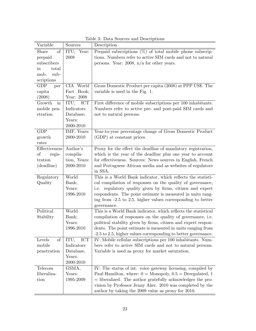| Variable                     | Sources         | Description                                                    |
|------------------------------|-----------------|----------------------------------------------------------------|
| Share<br>of                  | ITU; Year:      | Prepaid subscriptions $(\%)$ of total mobile phone subscrip-   |
| prepaid                      | 2008            | tions. Numbers refer to active SIM cards and not to natural    |
| subscribers                  |                 | persons. Year: 2008, $n/a$ for other years.                    |
| total<br>$\operatorname{in}$ |                 |                                                                |
| sub-<br>mob.                 |                 |                                                                |
| scriptions                   |                 |                                                                |
| <b>GDP</b><br>per            | CIA World       | Gross Domestic Product per capita (2008) at PPP US\$. The      |
| capita                       | Fact Book;      | variable is used in the Fig. 1.                                |
| (2008)                       | Year: 2008      |                                                                |
| Growth<br>in                 | ITU,<br>ICT     | First difference of mobile subscriptions per 100 inhabitants.  |
| mobile pen-                  | Indicators      | Numbers refer to active pre- and post-paid SIM cards and       |
| etration                     | Database;       | not to natural persons.                                        |
|                              | Years:          |                                                                |
|                              | 2000-2010       |                                                                |
| <b>GDP</b>                   | IMF, Years:     | Year-to-year percentage change of Gross Domestic Product       |
| growth                       | 2000-2010       | (GDP) at constant prices.                                      |
| rates                        |                 |                                                                |
| Effectiveness                | Author's        | Proxy for the effect the deadline of mandatory registration,   |
| $\sigma$<br>regis-           | compila-        | which is the year of the deadline plus one year to account     |
| tration                      | tion, Years:    | for effectiveness. Sources: News sources in English, French    |
| (deadline)                   | 2000-2010       | and Portuguese African media and as websites of regulators     |
|                              |                 | in SSA.                                                        |
| Regulatory                   | World           | This is a World Bank indicator, which reflects the statisti-   |
| Quality                      | Bank;           | cal compilation of responses on the quality of governance,     |
|                              | Years:          | i.e. regulatory quality given by firms, citizen and expert     |
|                              | 1996-2010       | respondents. The point estimate is measured in units rang-     |
|                              |                 | ing from -2.5 to 2.5, higher values corresponding to better    |
|                              |                 | governance.                                                    |
| Political                    | World           | This is a World Bank indicator, which reflects the statistical |
| Stability                    | Bank;           | compilation of responses on the quality of governance, i.e.    |
|                              | Years:          | political stability given by firms, citizen and expert respon- |
|                              | 1996-2010       | dents. The point estimate is measured in units ranging from    |
|                              |                 | -2.5 to 2.5, higher values corresponding to better governance. |
| Levels<br>of                 | ICT<br>ITU,     | IV: Mobile cellular subscriptions per 100 inhabitants. Num-    |
| mobile                       | Indicators      | bers refer to active SIM cards and not to natural persons.     |
| penetration                  | Database,       | Variable is used as proxy for market saturation.               |
|                              | Years:          |                                                                |
|                              | 2000-2010       |                                                                |
| Telecom                      | GSMA,<br>Years: | IV: The status of int. voice gateway licensing, compiled by    |
| liberaliza-                  |                 | Paul Hamilton, where: $0 =$ Monopoly, $0.5 =$ Deregulated, 1   |
| tion                         | 1995-2009       | = liberalized. The author gratefully acknowledges the pro-     |
|                              |                 | vision by Professor Jenny Aker. 2010 was completed by the      |
|                              |                 | author by taking the 2009 value as proxy for 2010.             |

Table 3: Data Sources and Descriptions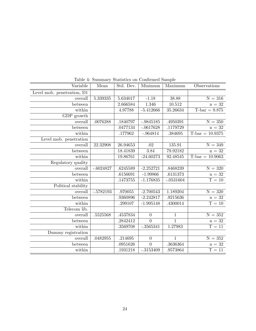| Variable                   | Mean         | Std. Dev. | Minimum          | Maximum        | Observations         |
|----------------------------|--------------|-----------|------------------|----------------|----------------------|
| Level mob. penetration, D1 |              |           |                  |                |                      |
| overall                    | 5.339335     | 5.634017  | $-1.18$          | 38.88          | $\rm N=316$          |
| between                    |              | 2.666584  | 1.346            | 10.512         | $n = 32$             |
| within                     |              | 4.97788   | $-5.412666$      | 35.26634       | $T-bar = 9.875$      |
| GDP growth                 |              |           |                  |                |                      |
| overall                    | .0076288     | .1840797  | $-.9845185$      | .4950391       | $\mathrm{N} = 350$   |
| between                    |              | .0477134  | $-.0617628$      | .1179729       | $n = 32$             |
| within                     |              | .177962   | $-.964814$       | .384695        | $T-bar = 10.9375$    |
| Level mob. penetration     |              |           |                  |                |                      |
| overall                    | 22.32908     | 26.94653  | $\overline{.02}$ | 135.91         | $\overline{N} = 349$ |
| between                    |              | 18.41839  | 3.84             | 79.92182       | $n = 32$             |
| within                     |              | 19.86761  | $-24.60273$      | 92.48545       | $T-bar = 10.9063$    |
| Regulatory quality         |              |           |                  |                |                      |
| overall                    | $-.6024827$  | .6245589  | $-2.252721$      | .8468239       | $\overline{N=320}$   |
| between                    |              | .6156691  | $-1.99866$       | .6131373       | $\rm n=32$           |
| within                     |              | .1473755  | $-1.176835$      | $-.0531604$    | $T = 10$             |
| Political stability        |              |           |                  |                |                      |
| overall                    | $-0.5782193$ | .970055   | $-2.700543$      | 1.189204       | $\overline{N} = 320$ |
| between                    |              | .9360896  | $-2.242817$      | .9215636       | $\mathrm{n}=32$      |
| within                     |              | .299107   | $-1.995148$      | .4300014       | $T = 10$             |
| Telecom lib.               |              |           |                  |                |                      |
| overall                    | .5525568     | .4537834  | $\overline{0}$   | $\mathbf{1}$   | $N = 352$            |
| between                    |              | .2842412  | $\overline{0}$   | $\overline{1}$ | $\rm n=32$           |
| within                     |              | .3569708  | $-3565341$       | 1.27983        | $T = 11$             |
| Dummy registration         |              |           |                  |                |                      |
| overall                    | .0482955     | .214695   | $\boldsymbol{0}$ | $\overline{1}$ | $\overline{N=352}$   |
| between                    |              | .0951626  | $\overline{0}$   | .3636364       | $\rm n=32$           |
| within                     |              | .1931218  | $-0.3153409$     | .9573864       | $T = 11$             |

Table 4: Summary Statistics on Confirmed Sample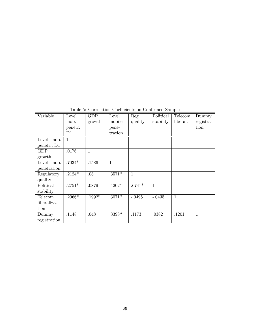| Variable     | Level        | <b>GDP</b> | Level        | Reg.         | Political    | Telecom  | Dummy        |
|--------------|--------------|------------|--------------|--------------|--------------|----------|--------------|
|              | mob.         | growth     | mobile       | quality      | stability    | liberal. | registra-    |
|              | penetr.      |            | pene-        |              |              |          | tion         |
|              | D1           |            | tration      |              |              |          |              |
| Level mob.   | $\mathbf{1}$ |            |              |              |              |          |              |
| penetr., D1  |              |            |              |              |              |          |              |
| <b>GDP</b>   | .0176        | 1          |              |              |              |          |              |
| growth       |              |            |              |              |              |          |              |
| Level mob.   | $.7034*$     | .1586      | $\mathbf{1}$ |              |              |          |              |
| penetration  |              |            |              |              |              |          |              |
| Regulatory   | $.2124*$     | .08        | $.3571*$     | $\mathbf{1}$ |              |          |              |
| quality      |              |            |              |              |              |          |              |
| Political    | $.2751*$     | .0879      | $.4202*$     | $.6741*$     | $\mathbf{1}$ |          |              |
| stability    |              |            |              |              |              |          |              |
| Telecom      | $.2066*$     | $.1992*$   | $.3071*$     | $-.0495$     | $-.0435$     | 1        |              |
| liberaliza-  |              |            |              |              |              |          |              |
| tion         |              |            |              |              |              |          |              |
| Dummy        | .1148        | .048       | .3398*       | .1173        | .0382        | .1201    | $\mathbf{1}$ |
| registration |              |            |              |              |              |          |              |

Table 5: Correlation Coefficients on Confirmed Sample